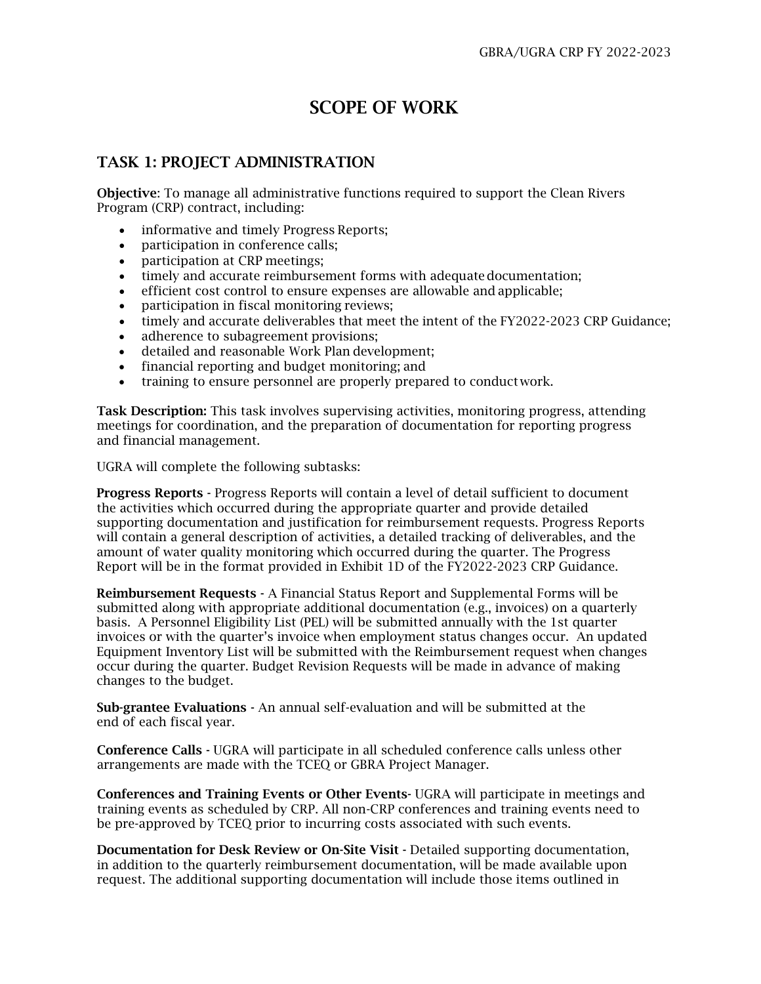# SCOPE OF WORK

## TASK 1: PROJECT ADMINISTRATION

Objective: To manage all administrative functions required to support the Clean Rivers Program (CRP) contract, including:

- informative and timely Progress Reports;
- participation in conference calls;
- participation at CRP meetings;
- timely and accurate reimbursement forms with adequate documentation;
- efficient cost control to ensure expenses are allowable and applicable;
- participation in fiscal monitoring reviews;
- timely and accurate deliverables that meet the intent of the FY2022-2023 CRP Guidance;
- adherence to subagreement provisions;
- detailed and reasonable Work Plan development;
- financial reporting and budget monitoring; and
- training to ensure personnel are properly prepared to conductwork.

Task Description: This task involves supervising activities, monitoring progress, attending meetings for coordination, and the preparation of documentation for reporting progress and financial management.

UGRA will complete the following subtasks:

Progress Reports - Progress Reports will contain a level of detail sufficient to document the activities which occurred during the appropriate quarter and provide detailed supporting documentation and justification for reimbursement requests. Progress Reports will contain a general description of activities, a detailed tracking of deliverables, and the amount of water quality monitoring which occurred during the quarter. The Progress Report will be in the format provided in Exhibit 1D of the FY2022-2023 CRP Guidance.

Reimbursement Requests - A Financial Status Report and Supplemental Forms will be submitted along with appropriate additional documentation (e.g., invoices) on a quarterly basis. A Personnel Eligibility List (PEL) will be submitted annually with the 1st quarter invoices or with the quarter's invoice when employment status changes occur. An updated Equipment Inventory List will be submitted with the Reimbursement request when changes occur during the quarter. Budget Revision Requests will be made in advance of making changes to the budget.

Sub-grantee Evaluations - An annual self-evaluation and will be submitted at the end of each fiscal year.

Conference Calls - UGRA will participate in all scheduled conference calls unless other arrangements are made with the TCEQ or GBRA Project Manager.

Conferences and Training Events or Other Events- UGRA will participate in meetings and training events as scheduled by CRP. All non-CRP conferences and training events need to be pre-approved by TCEQ prior to incurring costs associated with such events.

Documentation for Desk Review or On-Site Visit - Detailed supporting documentation, in addition to the quarterly reimbursement documentation, will be made available upon request. The additional supporting documentation will include those items outlined in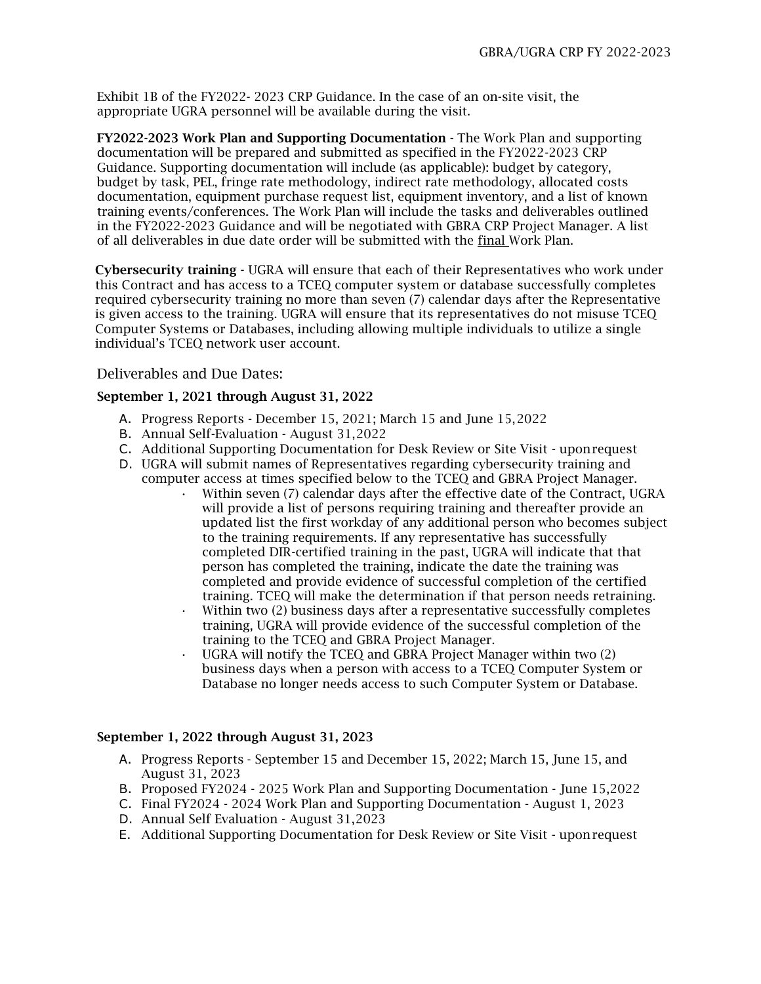Exhibit 1B of the FY2022- 2023 CRP Guidance. In the case of an on-site visit, the appropriate UGRA personnel will be available during the visit.

FY2022-2023 Work Plan and Supporting Documentation - The Work Plan and supporting documentation will be prepared and submitted as specified in the FY2022-2023 CRP Guidance. Supporting documentation will include (as applicable): budget by category, budget by task, PEL, fringe rate methodology, indirect rate methodology, allocated costs documentation, equipment purchase request list, equipment inventory, and a list of known training events/conferences. The Work Plan will include the tasks and deliverables outlined in the FY2022-2023 Guidance and will be negotiated with GBRA CRP Project Manager. A list of all deliverables in due date order will be submitted with the final Work Plan.

Cybersecurity training - UGRA will ensure that each of their Representatives who work under this Contract and has access to a TCEQ computer system or database successfully completes required cybersecurity training no more than seven (7) calendar days after the Representative is given access to the training. UGRA will ensure that its representatives do not misuse TCEQ Computer Systems or Databases, including allowing multiple individuals to utilize a single individual's TCEQ network user account.

## Deliverables and Due Dates:

## September 1, 2021 through August 31, 2022

- A. Progress Reports December 15, 2021; March 15 and June 15,2022
- B. Annual Self-Evaluation August 31,2022
- C. Additional Supporting Documentation for Desk Review or Site Visit uponrequest
- D. UGRA will submit names of Representatives regarding cybersecurity training and computer access at times specified below to the TCEQ and GBRA Project Manager.
	- Within seven (7) calendar days after the effective date of the Contract, UGRA will provide a list of persons requiring training and thereafter provide an updated list the first workday of any additional person who becomes subject to the training requirements. If any representative has successfully completed DIR-certified training in the past, UGRA will indicate that that person has completed the training, indicate the date the training was completed and provide evidence of successful completion of the certified training. TCEQ will make the determination if that person needs retraining.
	- Within two (2) business days after a representative successfully completes training, UGRA will provide evidence of the successful completion of the training to the TCEQ and GBRA Project Manager.
	- UGRA will notify the TCEQ and GBRA Project Manager within two (2) business days when a person with access to a TCEQ Computer System or Database no longer needs access to such Computer System or Database.

- A. Progress Reports September 15 and December 15, 2022; March 15, June 15, and August 31, 2023
- B. Proposed FY2024 2025 Work Plan and Supporting Documentation June 15,2022
- C. Final FY2024 2024 Work Plan and Supporting Documentation August 1, 2023
- D. Annual Self Evaluation August 31,2023
- E. Additional Supporting Documentation for Desk Review or Site Visit uponrequest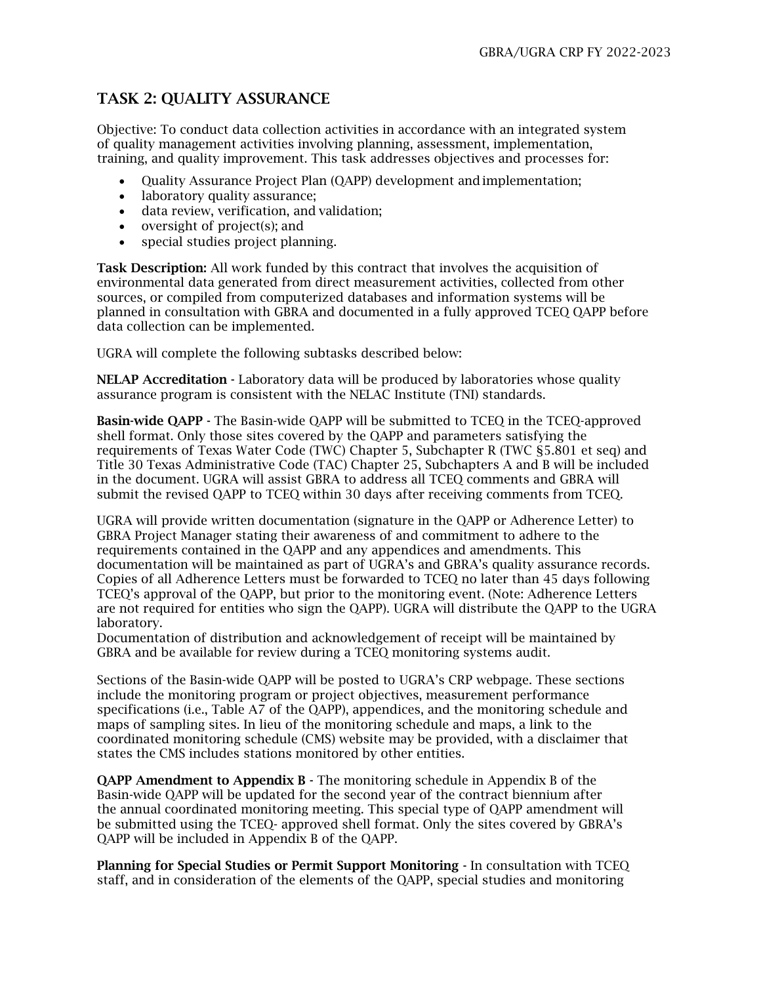## TASK 2: QUALITY ASSURANCE

Objective: To conduct data collection activities in accordance with an integrated system of quality management activities involving planning, assessment, implementation, training, and quality improvement. This task addresses objectives and processes for:

- Quality Assurance Project Plan (QAPP) development andimplementation;
- laboratory quality assurance;
- data review, verification, and validation;
- oversight of project(s); and
- special studies project planning.

Task Description: All work funded by this contract that involves the acquisition of environmental data generated from direct measurement activities, collected from other sources, or compiled from computerized databases and information systems will be planned in consultation with GBRA and documented in a fully approved TCEQ QAPP before data collection can be implemented.

UGRA will complete the following subtasks described below:

NELAP Accreditation - Laboratory data will be produced by laboratories whose quality assurance program is consistent with the NELAC Institute (TNI) standards.

Basin-wide QAPP - The Basin-wide QAPP will be submitted to TCEQ in the TCEQ-approved shell format. Only those sites covered by the QAPP and parameters satisfying the requirements of Texas Water Code (TWC) Chapter 5, Subchapter R (TWC §5.801 et seq) and Title 30 Texas Administrative Code (TAC) Chapter 25, Subchapters A and B will be included in the document. UGRA will assist GBRA to address all TCEQ comments and GBRA will submit the revised QAPP to TCEQ within 30 days after receiving comments from TCEQ.

UGRA will provide written documentation (signature in the QAPP or Adherence Letter) to GBRA Project Manager stating their awareness of and commitment to adhere to the requirements contained in the QAPP and any appendices and amendments. This documentation will be maintained as part of UGRA's and GBRA's quality assurance records. Copies of all Adherence Letters must be forwarded to TCEQ no later than 45 days following TCEQ's approval of the QAPP, but prior to the monitoring event. (Note: Adherence Letters are not required for entities who sign the QAPP). UGRA will distribute the QAPP to the UGRA laboratory.

Documentation of distribution and acknowledgement of receipt will be maintained by GBRA and be available for review during a TCEQ monitoring systems audit.

Sections of the Basin-wide QAPP will be posted to UGRA's CRP webpage. These sections include the monitoring program or project objectives, measurement performance specifications (i.e., Table A7 of the QAPP), appendices, and the monitoring schedule and maps of sampling sites. In lieu of the monitoring schedule and maps, a link to the coordinated monitoring schedule (CMS) website may be provided, with a disclaimer that states the CMS includes stations monitored by other entities.

QAPP Amendment to Appendix B - The monitoring schedule in Appendix B of the Basin-wide QAPP will be updated for the second year of the contract biennium after the annual coordinated monitoring meeting. This special type of QAPP amendment will be submitted using the TCEQ- approved shell format. Only the sites covered by GBRA's QAPP will be included in Appendix B of the QAPP.

Planning for Special Studies or Permit Support Monitoring - In consultation with TCEQ staff, and in consideration of the elements of the QAPP, special studies and monitoring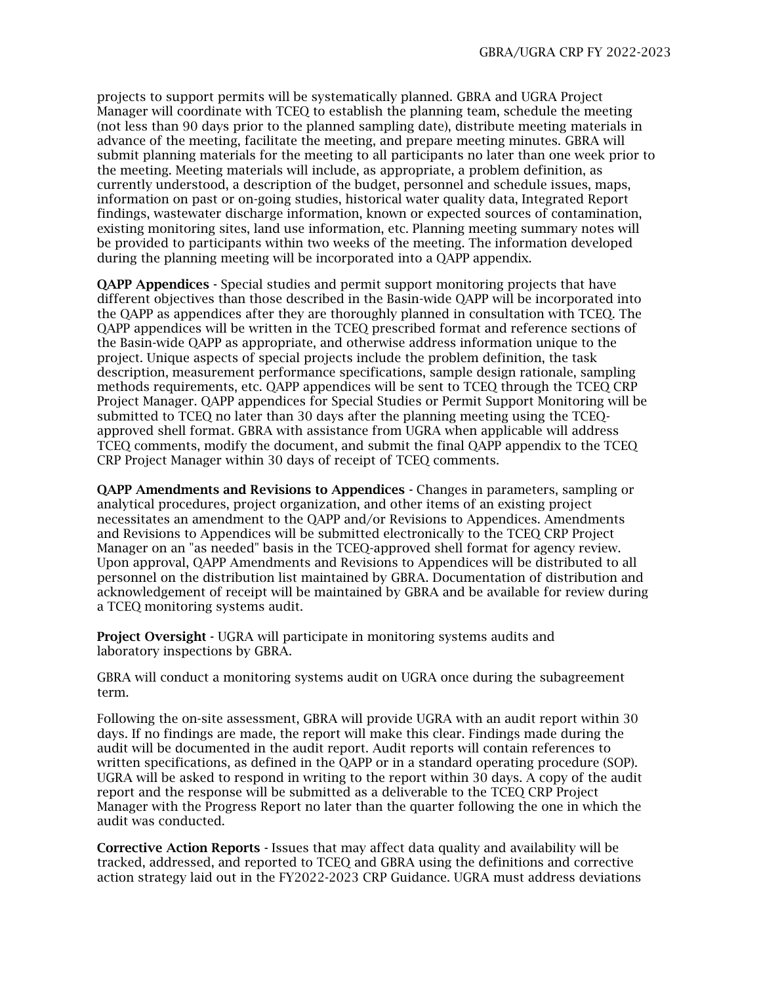projects to support permits will be systematically planned. GBRA and UGRA Project Manager will coordinate with TCEQ to establish the planning team, schedule the meeting (not less than 90 days prior to the planned sampling date), distribute meeting materials in advance of the meeting, facilitate the meeting, and prepare meeting minutes. GBRA will submit planning materials for the meeting to all participants no later than one week prior to the meeting. Meeting materials will include, as appropriate, a problem definition, as currently understood, a description of the budget, personnel and schedule issues, maps, information on past or on-going studies, historical water quality data, Integrated Report findings, wastewater discharge information, known or expected sources of contamination, existing monitoring sites, land use information, etc. Planning meeting summary notes will be provided to participants within two weeks of the meeting. The information developed during the planning meeting will be incorporated into a QAPP appendix.

QAPP Appendices - Special studies and permit support monitoring projects that have different objectives than those described in the Basin-wide QAPP will be incorporated into the QAPP as appendices after they are thoroughly planned in consultation with TCEQ. The QAPP appendices will be written in the TCEQ prescribed format and reference sections of the Basin-wide QAPP as appropriate, and otherwise address information unique to the project. Unique aspects of special projects include the problem definition, the task description, measurement performance specifications, sample design rationale, sampling methods requirements, etc. QAPP appendices will be sent to TCEQ through the TCEQ CRP Project Manager. QAPP appendices for Special Studies or Permit Support Monitoring will be submitted to TCEQ no later than 30 days after the planning meeting using the TCEQapproved shell format. GBRA with assistance from UGRA when applicable will address TCEQ comments, modify the document, and submit the final QAPP appendix to the TCEQ CRP Project Manager within 30 days of receipt of TCEQ comments.

QAPP Amendments and Revisions to Appendices - Changes in parameters, sampling or analytical procedures, project organization, and other items of an existing project necessitates an amendment to the QAPP and/or Revisions to Appendices. Amendments and Revisions to Appendices will be submitted electronically to the TCEQ CRP Project Manager on an "as needed" basis in the TCEQ-approved shell format for agency review. Upon approval, QAPP Amendments and Revisions to Appendices will be distributed to all personnel on the distribution list maintained by GBRA. Documentation of distribution and acknowledgement of receipt will be maintained by GBRA and be available for review during a TCEQ monitoring systems audit.

Project Oversight - UGRA will participate in monitoring systems audits and laboratory inspections by GBRA.

GBRA will conduct a monitoring systems audit on UGRA once during the subagreement term.

Following the on-site assessment, GBRA will provide UGRA with an audit report within 30 days. If no findings are made, the report will make this clear. Findings made during the audit will be documented in the audit report. Audit reports will contain references to written specifications, as defined in the QAPP or in a standard operating procedure (SOP). UGRA will be asked to respond in writing to the report within 30 days. A copy of the audit report and the response will be submitted as a deliverable to the TCEQ CRP Project Manager with the Progress Report no later than the quarter following the one in which the audit was conducted.

Corrective Action Reports - Issues that may affect data quality and availability will be tracked, addressed, and reported to TCEQ and GBRA using the definitions and corrective action strategy laid out in the FY2022-2023 CRP Guidance. UGRA must address deviations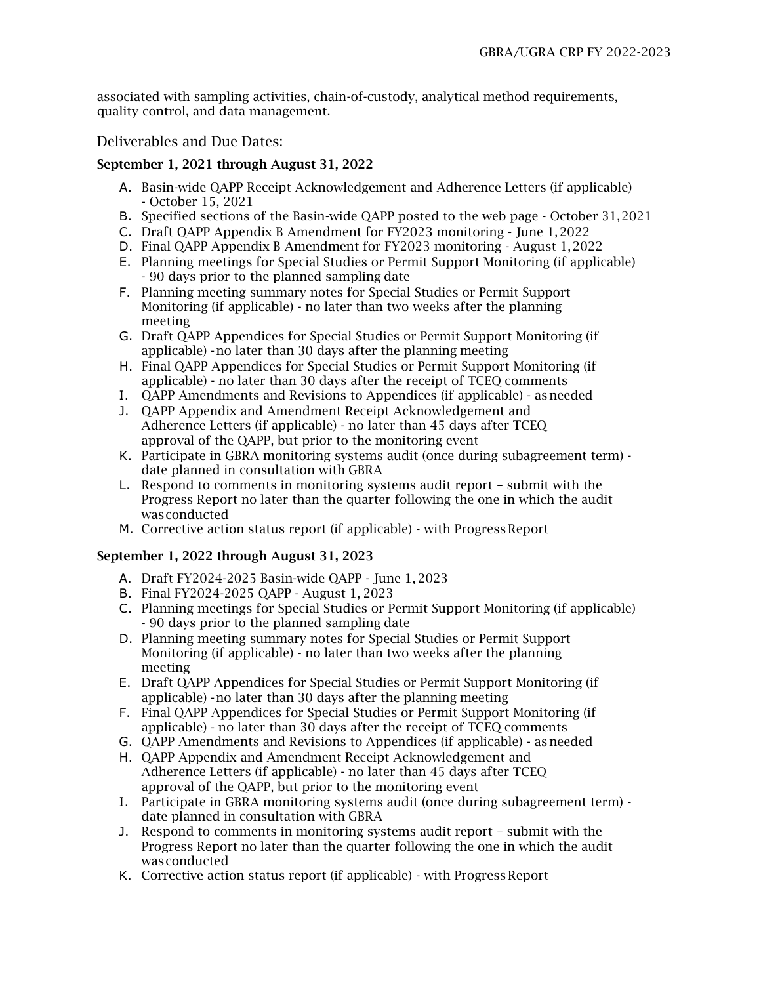associated with sampling activities, chain-of-custody, analytical method requirements, quality control, and data management.

Deliverables and Due Dates:

## September 1, 2021 through August 31, 2022

- A. Basin-wide QAPP Receipt Acknowledgement and Adherence Letters (if applicable) - October 15, 2021
- B. Specified sections of the Basin-wide QAPP posted to the web page October 31,2021
- C. Draft QAPP Appendix B Amendment for FY2023 monitoring June 1,2022
- D. Final QAPP Appendix B Amendment for FY2023 monitoring August 1,2022
- E. Planning meetings for Special Studies or Permit Support Monitoring (if applicable) - 90 days prior to the planned sampling date
- F. Planning meeting summary notes for Special Studies or Permit Support Monitoring (if applicable) - no later than two weeks after the planning meeting
- G. Draft QAPP Appendices for Special Studies or Permit Support Monitoring (if applicable) -no later than 30 days after the planning meeting
- H. Final QAPP Appendices for Special Studies or Permit Support Monitoring (if applicable) - no later than 30 days after the receipt of TCEQ comments
- I. QAPP Amendments and Revisions to Appendices (if applicable) asneeded
- J. QAPP Appendix and Amendment Receipt Acknowledgement and Adherence Letters (if applicable) - no later than 45 days after TCEQ approval of the QAPP, but prior to the monitoring event
- K. Participate in GBRA monitoring systems audit (once during subagreement term) date planned in consultation with GBRA
- L. Respond to comments in monitoring systems audit report submit with the Progress Report no later than the quarter following the one in which the audit wasconducted
- M. Corrective action status report (if applicable) with Progress Report

- A. Draft FY2024-2025 Basin-wide QAPP June 1, 2023
- B. Final FY2024-2025 QAPP August 1, 2023
- C. Planning meetings for Special Studies or Permit Support Monitoring (if applicable) - 90 days prior to the planned sampling date
- D. Planning meeting summary notes for Special Studies or Permit Support Monitoring (if applicable) - no later than two weeks after the planning meeting
- E. Draft QAPP Appendices for Special Studies or Permit Support Monitoring (if applicable) -no later than 30 days after the planning meeting
- F. Final QAPP Appendices for Special Studies or Permit Support Monitoring (if applicable) - no later than 30 days after the receipt of TCEQ comments
- G. QAPP Amendments and Revisions to Appendices (if applicable) as needed
- H. QAPP Appendix and Amendment Receipt Acknowledgement and Adherence Letters (if applicable) - no later than 45 days after TCEQ approval of the QAPP, but prior to the monitoring event
- I. Participate in GBRA monitoring systems audit (once during subagreement term) date planned in consultation with GBRA
- J. Respond to comments in monitoring systems audit report submit with the Progress Report no later than the quarter following the one in which the audit wasconducted
- K. Corrective action status report (if applicable) with Progress Report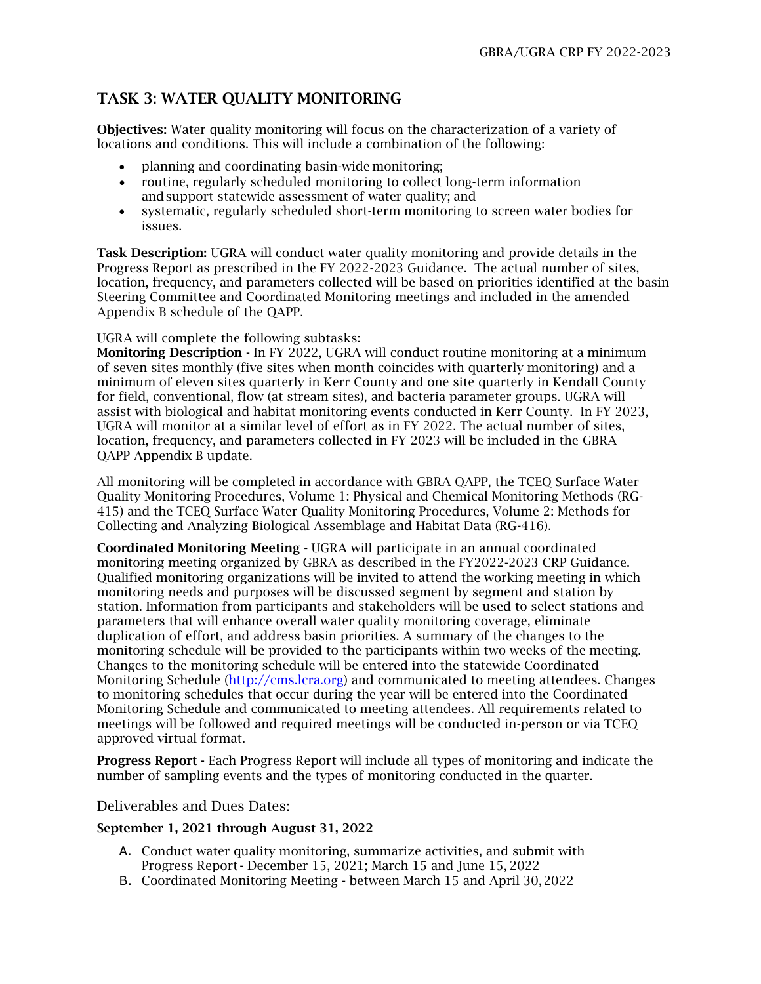## TASK 3: WATER QUALITY MONITORING

Objectives: Water quality monitoring will focus on the characterization of a variety of locations and conditions. This will include a combination of the following:

- planning and coordinating basin-wide monitoring;
- routine, regularly scheduled monitoring to collect long-term information andsupport statewide assessment of water quality; and
- systematic, regularly scheduled short-term monitoring to screen water bodies for issues.

Task Description: UGRA will conduct water quality monitoring and provide details in the Progress Report as prescribed in the FY 2022-2023 Guidance. The actual number of sites, location, frequency, and parameters collected will be based on priorities identified at the basin Steering Committee and Coordinated Monitoring meetings and included in the amended Appendix B schedule of the QAPP.

## UGRA will complete the following subtasks:

Monitoring Description - In FY 2022, UGRA will conduct routine monitoring at a minimum of seven sites monthly (five sites when month coincides with quarterly monitoring) and a minimum of eleven sites quarterly in Kerr County and one site quarterly in Kendall County for field, conventional, flow (at stream sites), and bacteria parameter groups. UGRA will assist with biological and habitat monitoring events conducted in Kerr County. In FY 2023, UGRA will monitor at a similar level of effort as in FY 2022. The actual number of sites, location, frequency, and parameters collected in FY 2023 will be included in the GBRA QAPP Appendix B update.

All monitoring will be completed in accordance with GBRA QAPP, the TCEQ Surface Water Quality Monitoring Procedures, Volume 1: Physical and Chemical Monitoring Methods (RG-415) and the TCEQ Surface Water Quality Monitoring Procedures, Volume 2: Methods for Collecting and Analyzing Biological Assemblage and Habitat Data (RG-416).

Coordinated Monitoring Meeting - UGRA will participate in an annual coordinated monitoring meeting organized by GBRA as described in the FY2022-2023 CRP Guidance. Qualified monitoring organizations will be invited to attend the working meeting in which monitoring needs and purposes will be discussed segment by segment and station by station. Information from participants and stakeholders will be used to select stations and parameters that will enhance overall water quality monitoring coverage, eliminate duplication of effort, and address basin priorities. A summary of the changes to the monitoring schedule will be provided to the participants within two weeks of the meeting. Changes to the monitoring schedule will be entered into the statewide Coordinated Monitoring Schedule [\(http://cms.lcra.org\)](http://cms.lcra.org/) and communicated to meeting attendees. Changes to monitoring schedules that occur during the year will be entered into the Coordinated Monitoring Schedule and communicated to meeting attendees. All requirements related to meetings will be followed and required meetings will be conducted in-person or via TCEQ approved virtual format.

Progress Report - Each Progress Report will include all types of monitoring and indicate the number of sampling events and the types of monitoring conducted in the quarter.

Deliverables and Dues Dates:

- A. Conduct water quality monitoring, summarize activities, and submit with Progress Report- December 15, 2021; March 15 and June 15, 2022
- B. Coordinated Monitoring Meeting between March 15 and April 30,2022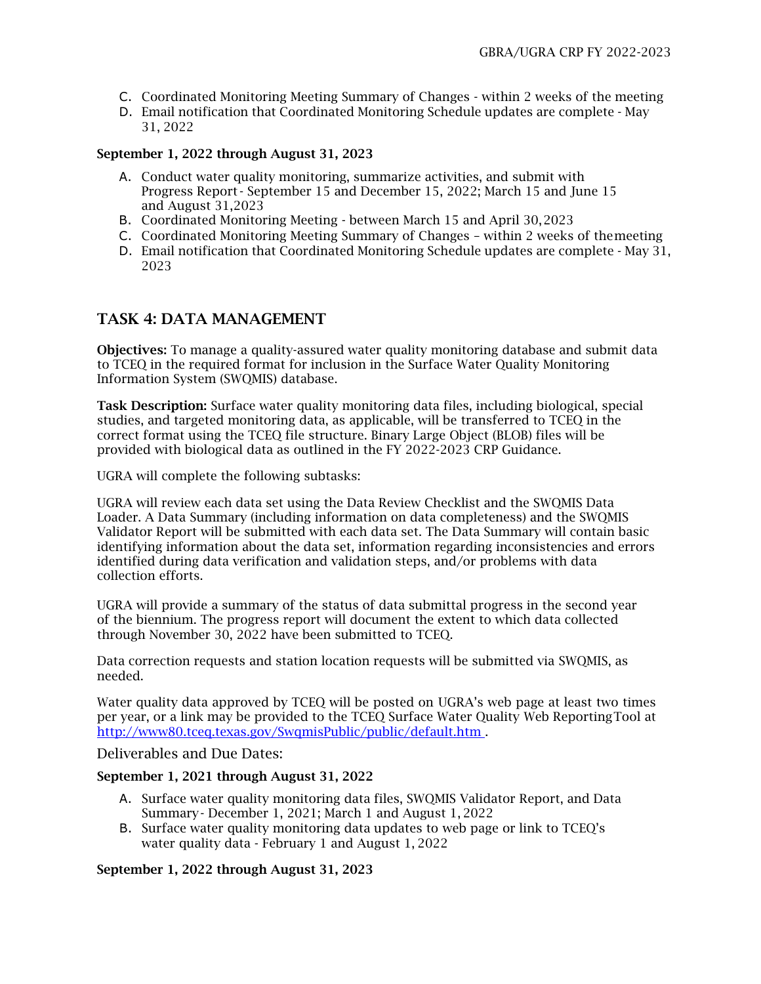- C. Coordinated Monitoring Meeting Summary of Changes within 2 weeks of the meeting
- D. Email notification that Coordinated Monitoring Schedule updates are complete May 31, 2022

#### September 1, 2022 through August 31, 2023

- A. Conduct water quality monitoring, summarize activities, and submit with Progress Report- September 15 and December 15, 2022; March 15 and June 15 and August 31,2023
- B. Coordinated Monitoring Meeting between March 15 and April 30,2023
- C. Coordinated Monitoring Meeting Summary of Changes within 2 weeks of themeeting
- D. Email notification that Coordinated Monitoring Schedule updates are complete May 31, 2023

## TASK 4: DATA MANAGEMENT

Objectives: To manage a quality-assured water quality monitoring database and submit data to TCEQ in the required format for inclusion in the Surface Water Quality Monitoring Information System (SWQMIS) database.

Task Description: Surface water quality monitoring data files, including biological, special studies, and targeted monitoring data, as applicable, will be transferred to TCEQ in the correct format using the TCEQ file structure. Binary Large Object (BLOB) files will be provided with biological data as outlined in the FY 2022-2023 CRP Guidance.

UGRA will complete the following subtasks:

UGRA will review each data set using the Data Review Checklist and the SWQMIS Data Loader. A Data Summary (including information on data completeness) and the SWQMIS Validator Report will be submitted with each data set. The Data Summary will contain basic identifying information about the data set, information regarding inconsistencies and errors identified during data verification and validation steps, and/or problems with data collection efforts.

UGRA will provide a summary of the status of data submittal progress in the second year of the biennium. The progress report will document the extent to which data collected through November 30, 2022 have been submitted to TCEQ.

Data correction requests and station location requests will be submitted via SWQMIS, as needed.

Water quality data approved by TCEQ will be posted on UGRA's web page at least two times per year, or a link may be provided to the TCEQ Surface Water Quality Web ReportingTool at <http://www80.tceq.texas.gov/SwqmisPublic/public/default.htm> .

Deliverables and Due Dates:

#### September 1, 2021 through August 31, 2022

- A. Surface water quality monitoring data files, SWQMIS Validator Report, and Data Summary- December 1, 2021; March 1 and August 1, 2022
- B. Surface water quality monitoring data updates to web page or link to TCEQ's water quality data - February 1 and August 1, 2022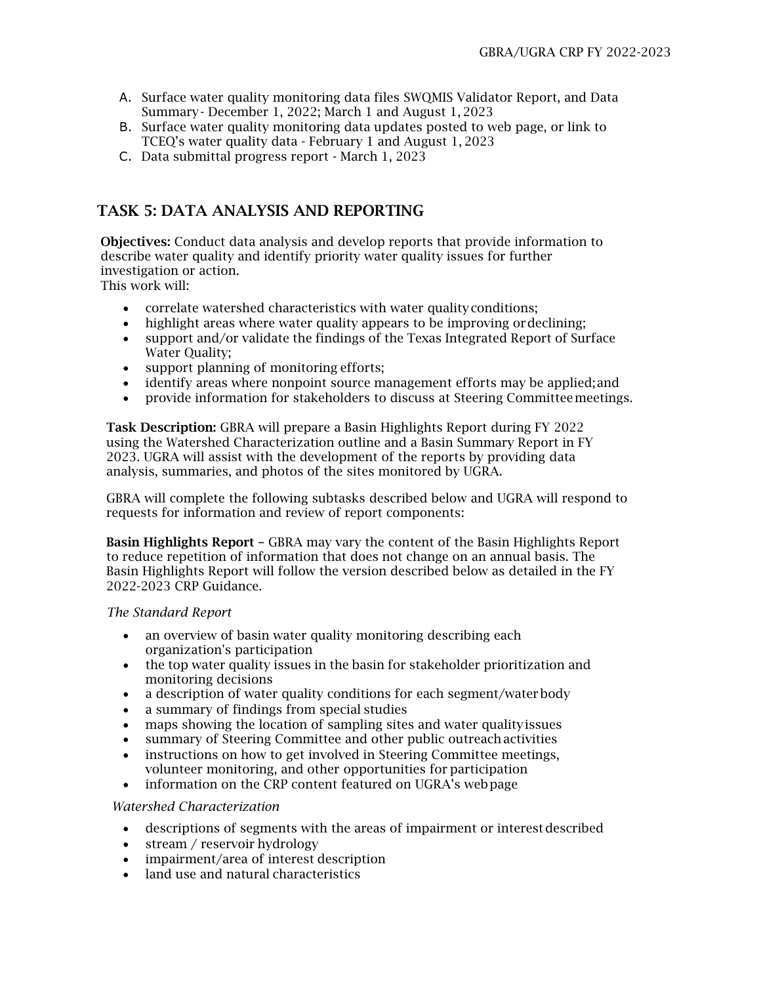- A. Surface water quality monitoring data files SWQMIS Validator Report, and Data Summary- December 1, 2022; March 1 and August 1, 2023
- B. Surface water quality monitoring data updates posted to web page, or link to TCEQ's water quality data - February 1 and August 1, 2023
- C. Data submittal progress report March 1, 2023

## TASK 5: DATA ANALYSIS AND REPORTING

Objectives: Conduct data analysis and develop reports that provide information to describe water quality and identify priority water quality issues for further investigation or action.

This work will:

- correlate watershed characteristics with water qualityconditions;
- highlight areas where water quality appears to be improving ordeclining;
- support and/or validate the findings of the Texas Integrated Report of Surface Water Quality;
- support planning of monitoring efforts;
- identify areas where nonpoint source management efforts may be applied; and
- provide information for stakeholders to discuss at Steering Committeemeetings.

Task Description: GBRA will prepare a Basin Highlights Report during FY 2022 using the Watershed Characterization outline and a Basin Summary Report in FY 2023. UGRA will assist with the development of the reports by providing data analysis, summaries, and photos of the sites monitored by UGRA.

GBRA will complete the following subtasks described below and UGRA will respond to requests for information and review of report components:

Basin Highlights Report – GBRA may vary the content of the Basin Highlights Report to reduce repetition of information that does not change on an annual basis. The Basin Highlights Report will follow the version described below as detailed in the FY 2022-2023 CRP Guidance.

## *The Standard Report*

- an overview of basin water quality monitoring describing each organization's participation
- the top water quality issues in the basin for stakeholder prioritization and monitoring decisions
- a description of water quality conditions for each segment/waterbody
- a summary of findings from special studies
- maps showing the location of sampling sites and water qualityissues
- summary of Steering Committee and other public outreach activities
- instructions on how to get involved in Steering Committee meetings, volunteer monitoring, and other opportunities for participation
- information on the CRP content featured on UGRA's web page

## *Watershed Characterization*

- descriptions of segments with the areas of impairment or interestdescribed
- stream / reservoir hydrology
- impairment/area of interest description
- land use and natural characteristics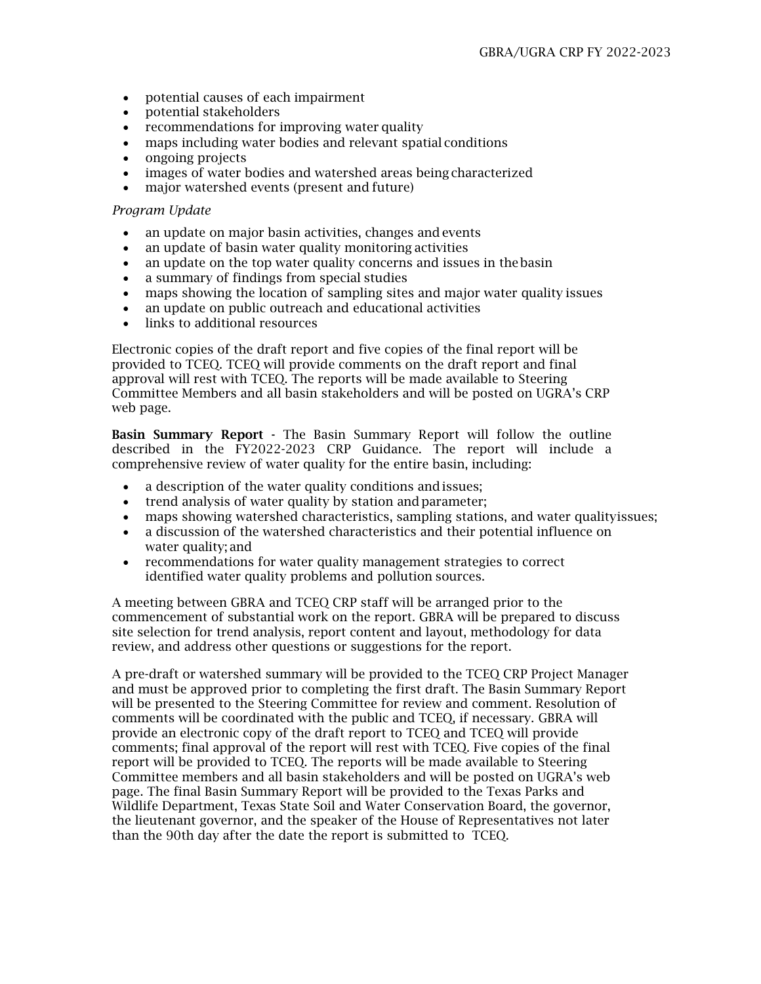- potential causes of each impairment
- potential stakeholders
- recommendations for improving water quality
- maps including water bodies and relevant spatial conditions
- ongoing projects
- images of water bodies and watershed areas being characterized
- major watershed events (present and future)

#### *Program Update*

- an update on major basin activities, changes and events
- an update of basin water quality monitoring activities
- an update on the top water quality concerns and issues in the basin
- a summary of findings from special studies
- maps showing the location of sampling sites and major water quality issues
- an update on public outreach and educational activities
- links to additional resources

Electronic copies of the draft report and five copies of the final report will be provided to TCEQ. TCEQ will provide comments on the draft report and final approval will rest with TCEQ. The reports will be made available to Steering Committee Members and all basin stakeholders and will be posted on UGRA's CRP web page.

Basin Summary Report - The Basin Summary Report will follow the outline described in the FY2022-2023 CRP Guidance. The report will include a comprehensive review of water quality for the entire basin, including:

- a description of the water quality conditions andissues;
- trend analysis of water quality by station and parameter;
- maps showing watershed characteristics, sampling stations, and water qualityissues;
- a discussion of the watershed characteristics and their potential influence on water quality; and
- recommendations for water quality management strategies to correct identified water quality problems and pollution sources.

A meeting between GBRA and TCEQ CRP staff will be arranged prior to the commencement of substantial work on the report. GBRA will be prepared to discuss site selection for trend analysis, report content and layout, methodology for data review, and address other questions or suggestions for the report.

A pre-draft or watershed summary will be provided to the TCEQ CRP Project Manager and must be approved prior to completing the first draft. The Basin Summary Report will be presented to the Steering Committee for review and comment. Resolution of comments will be coordinated with the public and TCEQ, if necessary. GBRA will provide an electronic copy of the draft report to TCEQ and TCEQ will provide comments; final approval of the report will rest with TCEQ. Five copies of the final report will be provided to TCEQ. The reports will be made available to Steering Committee members and all basin stakeholders and will be posted on UGRA's web page. The final Basin Summary Report will be provided to the Texas Parks and Wildlife Department, Texas State Soil and Water Conservation Board, the governor, the lieutenant governor, and the speaker of the House of Representatives not later than the 90th day after the date the report is submitted to TCEQ.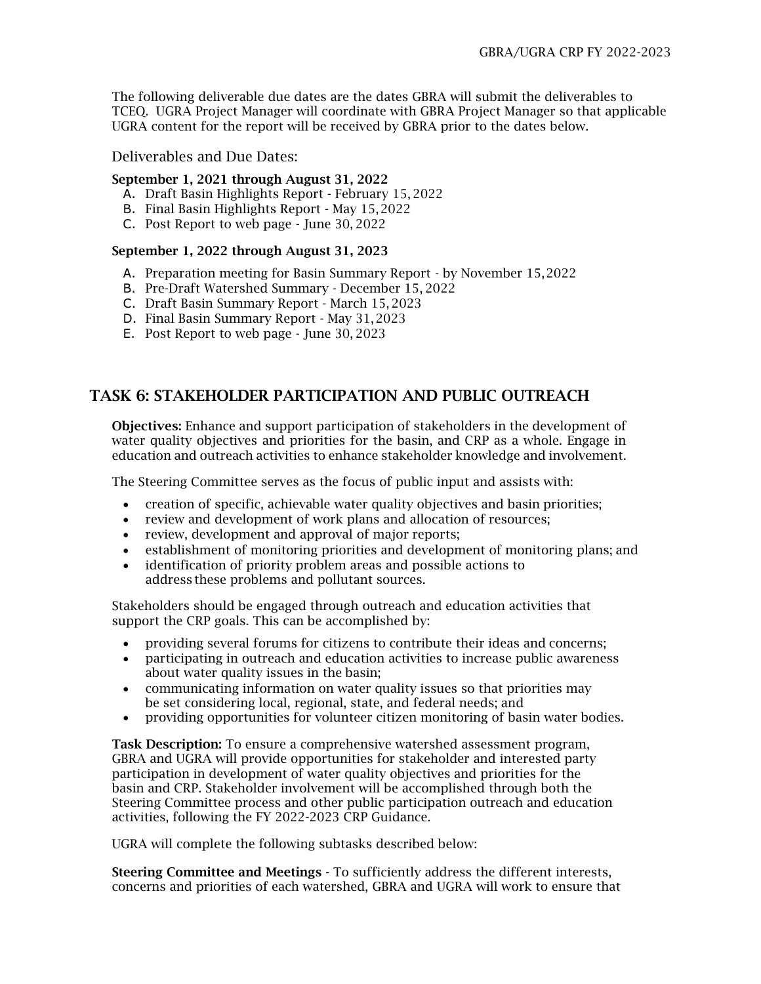The following deliverable due dates are the dates GBRA will submit the deliverables to TCEQ. UGRA Project Manager will coordinate with GBRA Project Manager so that applicable UGRA content for the report will be received by GBRA prior to the dates below.

## Deliverables and Due Dates:

#### September 1, 2021 through August 31, 2022

- A. Draft Basin Highlights Report February 15, 2022
- B. Final Basin Highlights Report May 15,2022
- C. Post Report to web page June 30, 2022

## September 1, 2022 through August 31, 2023

- A. Preparation meeting for Basin Summary Report by November 15,2022
- B. Pre-Draft Watershed Summary December 15, 2022
- C. Draft Basin Summary Report March 15, 2023
- D. Final Basin Summary Report May 31,2023
- E. Post Report to web page June 30, 2023

## TASK 6: STAKEHOLDER PARTICIPATION AND PUBLIC OUTREACH

Objectives: Enhance and support participation of stakeholders in the development of water quality objectives and priorities for the basin, and CRP as a whole. Engage in education and outreach activities to enhance stakeholder knowledge and involvement.

The Steering Committee serves as the focus of public input and assists with:

- creation of specific, achievable water quality objectives and basin priorities;
- review and development of work plans and allocation of resources;
- review, development and approval of major reports;
- establishment of monitoring priorities and development of monitoring plans; and
- identification of priority problem areas and possible actions to address these problems and pollutant sources.

Stakeholders should be engaged through outreach and education activities that support the CRP goals. This can be accomplished by:

- providing several forums for citizens to contribute their ideas and concerns;
- participating in outreach and education activities to increase public awareness about water quality issues in the basin;
- communicating information on water quality issues so that priorities may be set considering local, regional, state, and federal needs; and
- providing opportunities for volunteer citizen monitoring of basin water bodies.

Task Description: To ensure a comprehensive watershed assessment program, GBRA and UGRA will provide opportunities for stakeholder and interested party participation in development of water quality objectives and priorities for the basin and CRP. Stakeholder involvement will be accomplished through both the Steering Committee process and other public participation outreach and education activities, following the FY 2022-2023 CRP Guidance.

UGRA will complete the following subtasks described below:

Steering Committee and Meetings - To sufficiently address the different interests, concerns and priorities of each watershed, GBRA and UGRA will work to ensure that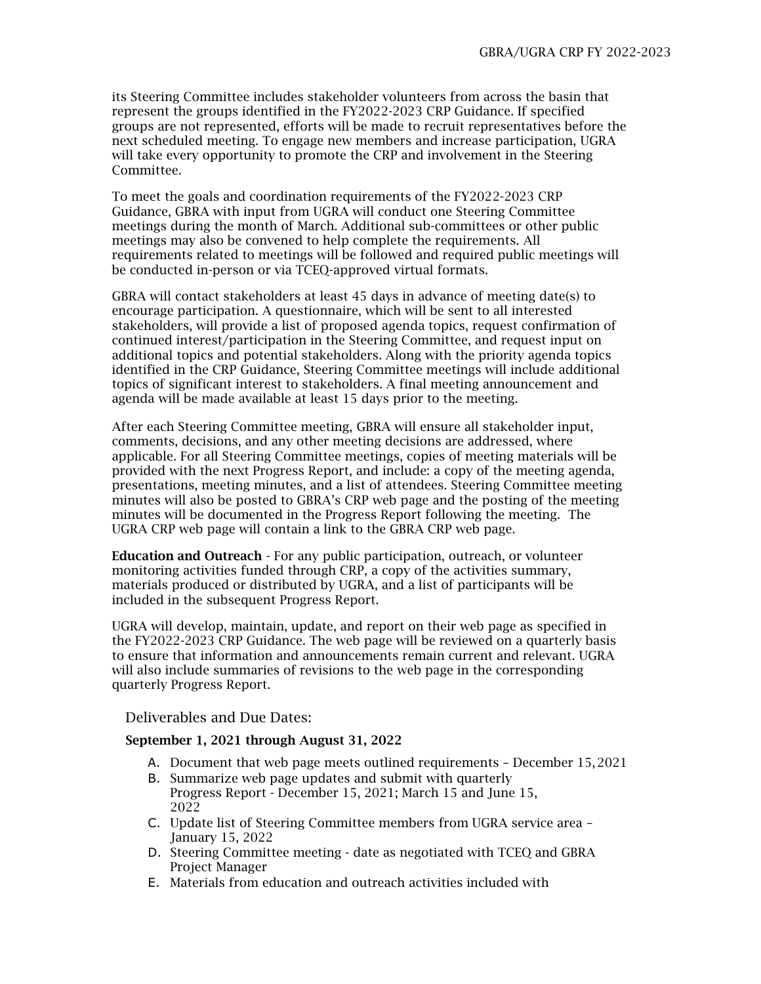its Steering Committee includes stakeholder volunteers from across the basin that represent the groups identified in the FY2022-2023 CRP Guidance. If specified groups are not represented, efforts will be made to recruit representatives before the next scheduled meeting. To engage new members and increase participation, UGRA will take every opportunity to promote the CRP and involvement in the Steering Committee.

To meet the goals and coordination requirements of the FY2022-2023 CRP Guidance, GBRA with input from UGRA will conduct one Steering Committee meetings during the month of March. Additional sub-committees or other public meetings may also be convened to help complete the requirements. All requirements related to meetings will be followed and required public meetings will be conducted in-person or via TCEQ-approved virtual formats.

GBRA will contact stakeholders at least 45 days in advance of meeting date(s) to encourage participation. A questionnaire, which will be sent to all interested stakeholders, will provide a list of proposed agenda topics, request confirmation of continued interest/participation in the Steering Committee, and request input on additional topics and potential stakeholders. Along with the priority agenda topics identified in the CRP Guidance, Steering Committee meetings will include additional topics of significant interest to stakeholders. A final meeting announcement and agenda will be made available at least 15 days prior to the meeting.

After each Steering Committee meeting, GBRA will ensure all stakeholder input, comments, decisions, and any other meeting decisions are addressed, where applicable. For all Steering Committee meetings, copies of meeting materials will be provided with the next Progress Report, and include: a copy of the meeting agenda, presentations, meeting minutes, and a list of attendees. Steering Committee meeting minutes will also be posted to GBRA's CRP web page and the posting of the meeting minutes will be documented in the Progress Report following the meeting. The UGRA CRP web page will contain a link to the GBRA CRP web page.

Education and Outreach - For any public participation, outreach, or volunteer monitoring activities funded through CRP, a copy of the activities summary, materials produced or distributed by UGRA, and a list of participants will be included in the subsequent Progress Report.

UGRA will develop, maintain, update, and report on their web page as specified in the FY2022-2023 CRP Guidance. The web page will be reviewed on a quarterly basis to ensure that information and announcements remain current and relevant. UGRA will also include summaries of revisions to the web page in the corresponding quarterly Progress Report.

Deliverables and Due Dates:

- A. Document that web page meets outlined requirements December 15,2021
- B. Summarize web page updates and submit with quarterly Progress Report - December 15, 2021; March 15 and June 15, 2022
- C. Update list of Steering Committee members from UGRA service area January 15, 2022
- D. Steering Committee meeting date as negotiated with TCEQ and GBRA Project Manager
- E. Materials from education and outreach activities included with